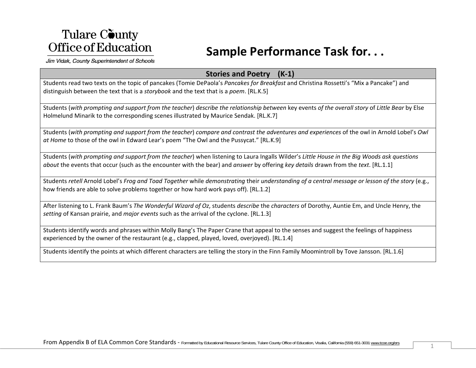### **Sample Performance Task for. . .**

Jim Vidak, County Superintendent of Schools

#### **Stories and Poetry (K‐1)**

Students read two texts on the topic of pancakes (Tomie DePaola's *Pancakes for Breakfast* and Christina Rossetti's "Mix <sup>a</sup> Pancake") and distinguish between the text that is <sup>a</sup> *storybook* and the text that is <sup>a</sup> *poem*. [RL.K.5]

Students (with prompting and support from the teacher) describe the relationship between key events of the overall story of Little Bear by Else Holmelund Minarik to the corresponding scenes illustrated by Maurice Sendak. [RL.K.7]

Students (with prompting and support from the teacher) compare and contrast the adventures and experiences of the owl in Arnold Lobel's Owl *at Home* to those of the owl in Edward Lear's poem "The Owl and the Pussycat." [RL.K.9]

Students (with prompting and support from the teacher) when listening to Laura Ingalls Wilder's Little House in the Big Woods ask questions *about* the events that occur (such as the encounter with the bear) and *answer* by offering *key details* drawn from the *text*. [RL.1.1]

Students retell Arnold Lobel's Frog and Toad Together while demonstrating their understanding of a central message or lesson of the story (e.g., how friends are able to solve problems together or how hard work pays off). [RL.1.2]

After listening to L. Frank Baum's *The Wonderful Wizard of Oz*, students *describe* the *characters* of Dorothy, Auntie Em, and Uncle Henry, the *setting* of Kansan prairie, and *major events* such as the arrival of the cyclone. [RL.1.3]

Students identify words and phrases within Molly Bang's The Paper Crane that appeal to the senses and suggest the feelings of happiness experienced by the owner of the restaurant (e.g., clapped, played, loved, overjoyed). [RL.1.4]

Students identify the points at which different characters are telling the story in the Finn Family Moomintroll by Tove Jansson. [RL.1.6]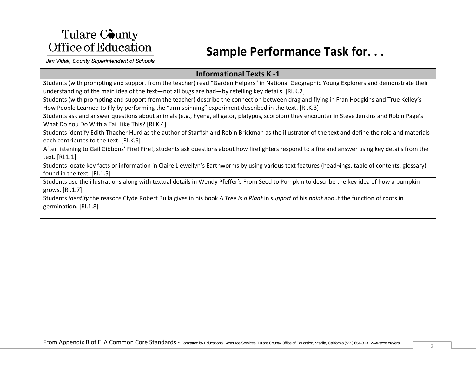## **Sample Performance Task for. . .**

Jim Vidak, County Superintendent of Schools

#### **Informational Texts K ‐1**

Students (with prompting and support from the teacher) read "Garden Helpers" in National Geographic Young Explorers and demonstrate their understanding of the main idea of the text—not all bugs are bad—by retelling key details. [RI.K.2]

Students (with prompting and support from the teacher) describe the connection between drag and flying in Fran Hodgkins and True Kelley's How People Learned to Fly by performing the "arm spinning" experiment described in the text. [RI.K.3]

Students ask and answer questions about animals (e.g., hyena, alligator, platypus, scorpion) they encounter in Steve Jenkins and Robin Page's What Do You Do With <sup>a</sup> Tail Like This? [RI.K.4]

Students identify Edith Thacher Hurd as the author of Starfish and Robin Brickman as the illustrator of the text and define the role and materials each contributes to the text. [RI.K.6]

After listening to Gail Gibbons' Fire! Fire!, students ask questions about how firefighters respond to <sup>a</sup> fire and answer using key details from the text. [RI.1.1]

Students locate key facts or information in Claire Llewellyn's Earthworms by using various text features (head¬ings, table of contents, glossary) found in the text. [RI.1.5]

Students use the illustrations along with textual details in Wendy Pfeffer's From Seed to Pumpkin to describe the key idea of how <sup>a</sup> pumpkin grows. [RI.1.7]

Students *identify* the reasons Clyde Robert Bulla gives in his book *A Tree Is <sup>a</sup> Plant* in *support* of his *point* about the function of roots in germination. [RI.1.8]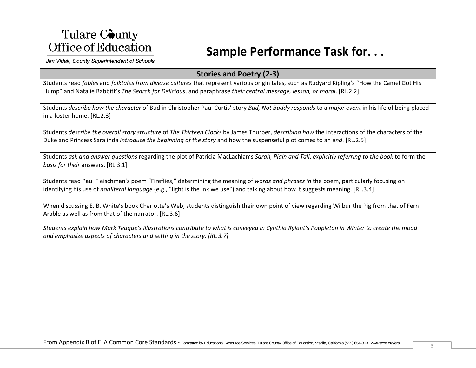### **Sample Performance Task for. . .**

Jim Vidak, County Superintendent of Schools

#### **Stories and Poetry (2‐3)**

Students read *fables* and *folktales from diverse cultures* that represent various origin tales, such as Rudyard Kipling's "How the Camel Got His Hump" and Natalie Babbitt's *The Search for Delicious*, and paraphrase *their central message, lesson, or moral*. [RL.2.2]

Students *describe how the character* of Bud in Christopher Paul Curtis' story *Bud, Not Buddy responds* to <sup>a</sup> *major event* in his life of being placed in <sup>a</sup> foster home. [RL.2.3]

Students *describe the overall story structure* of *The Thirteen Clocks* by James Thurber, *describing how* the interactions of the characters of the Duke and Princess Saralinda *introduce the beginning of the story* and how the suspenseful plot comes to an *end*. [RL.2.5]

Students ask and answer questions regarding the plot of Patricia MacLachlan's Sarah, Plain and Tall, explicitly referring to the book to form the *basis for their* answers. [RL.3.1]

Students read Paul Fleischman's poem "Fireflies," determining the meaning of *words and phrases in* the poem, particularly focusing on identifying his use of *nonliteral language* (e.g., "light is the ink we use") and talking about how it suggests meaning. [RL.3.4]

When discussing E. B. White's book Charlotte's Web, students distinguish their own point of view regarding Wilbur the Pig from that of Fern Arable as well as from that of the narrator. [RL.3.6]

Students explain how Mark Teague's illustrations contribute to what is conveyed in Cynthia Rylant's Poppleton in Winter to create the mood *and emphasize aspects of characters and setting in the story. [RL.3.7]*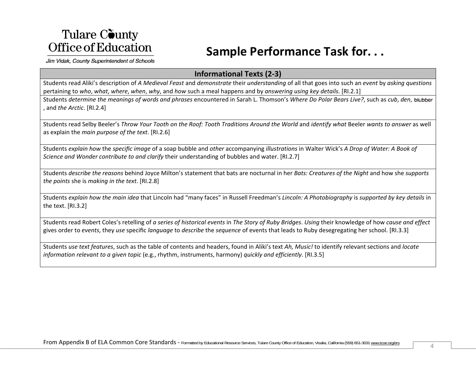## **Sample Performance Task for. . .**

Jim Vidak, County Superintendent of Schools

#### **Informational Texts (2‐3)**

Students read Aliki's description of *A Medieval Feast* and *demonstrate* their *understanding* of all that goes into such an *event* by *asking questions* pertaining to *who*, *what*, *where*, *when*, *why*, and *how* such <sup>a</sup> meal happens and by *answering using key details*. [RI.2.1]

Students *determine the meanings of words and phrases* encountered in Sarah L. Thomson's *Where Do Polar Bears Live?,* such as *cub, den,* , and *the Arctic*. [RI.2.4]

Students read Selby Beeler's *Throw Your Tooth on the Roof: Tooth Traditions Around the World* and *identify what* Beeler *wants to answer* as well as explain the *main purpose of the text*. [RI.2.6]

Students *explain how the specific image* of a soap bubble and *other* accompanying *illustrations* in Walter Wick's A Drop of Wat*er: A Book of Science and Wonder contribute to and clarify* their understanding of bubbles and water. [RI.2.7]

Students *describe the reasons* behind Joyce Milton's statement that bats are nocturnal in her *Bats: Creatures of the Night* and how she *supports the points* she is *making in the text*. [RI.2.8]

Students *explain how the main idea* that Lincoln had "many faces" in Russell Freedman's *Lincoln: A Photobiography* is support*ed by key details* in the text. [RI.3.2]

Students read Robert Coles's retelling of *a series of historical events* in *The Story of Ruby Bridges. Using* their knowledge of how *cause and effect* gives order to *events*, they *use* specific *language* to *describe* the *sequence* of events that leads to Ruby desegregating her school. [RI.3.3]

Students *use text features*, such as the table of contents and headers, found in Aliki's text *Ah, Music!* to identify relevant sections and *locate information relevant to <sup>a</sup> given topic* (e.g., rhythm, instruments, harmony) *quickly and efficiently*. [RI.3.5]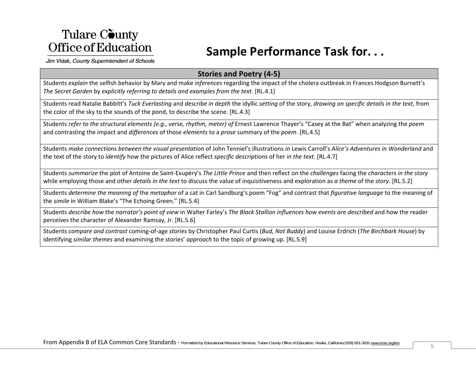### **Sample Performance Task for. . .**

Jim Vidak, County Superintendent of Schools

#### **Stories and Poetry (4‐5)**

Students *explain* the selfish behavior by Mary and make *inferences* regarding the impact of the cholera outbreak in Frances Hodgson Burnett's *The Secret Garden* by *explicitly referring to details and examples from the text*. [RL.4.1]

Students read Natalie Babbitt's *Tuck Everlasting* and *describe in depth* the idyllic *setting* of the story, *drawing on specific details in the text*, from the color of the sky to the sounds of the pond, to describe the scene. [RL.4.3]

Students *refer to the structural elements (e.g., verse, rhythm, meter) of* Ernest Lawrence Thayer's "Casey at the Bat" when analyzing the *poem* and contrasting the impact and *differences* of those *elements* to <sup>a</sup> *prose* summary of the *poem*. [RL.4.5]

Students *make connections between the visual presentation* of John Tenniel's illustrations *in* Lewis Carroll's *Alice's Adventures in Wonderland* and the text of the story to *identify* how the pictures of Alice reflect *specific descriptions* of her *in the text*. [RL.4.7]

Students *summarize* the plot of Antoine de Saint‐Exupéry's *The Little Prince* and then reflect on the *challenges* facing the *characters in the story* while employing those and other *details in the text* to discuss the value of inquisitiveness and exploration as *<sup>a</sup> theme* of the *story*. [RL.5.2]

Students *determine the meaning of* the *metaphor* of <sup>a</sup> cat in Carl Sandburg's poem "Fog" and contrast that *figurative language* to the meaning of the *simile* in William Blake's "The Echoing Green." [RL.5.4]

Students *describe how the narrator's point of view* in Walter Farley's T*he Black Stallion influences how events are described* and how the reader perceives the character of Alexander Ramsay, Jr. [RL.5.6]

Students *compare and contrast* coming‐of‐age *stories* by Christopher Paul Curtis (*Bud, Not Buddy*) and Louise Erdrich (*The Birchbark House*) by identifying *similar themes* and examining the stories' *approach* to the topic of growing up. [RL.5.9]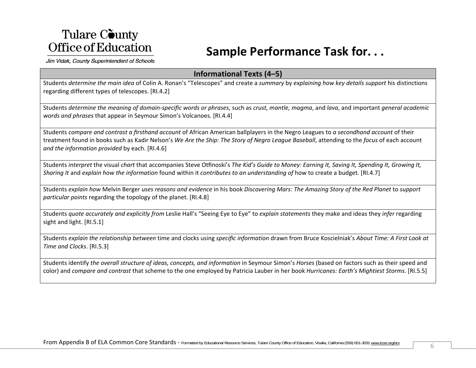### **Sample Performance Task for. . .**

Jim Vidak, County Superintendent of Schools

#### **Informational Texts (4–5)**

Students *determine the main idea* of Colin A. Ronan's "Telescopes" and create <sup>a</sup> *summary* by *explaining how key details support* his distinctions regarding different types of telescopes. [RI.4.2]

Students determine the meaning of domain-specific words or phrases, such as crust, mantle, magma, and lava, and important general academic *words and phrases* that appear in Seymour Simon's Volcanoes. [RI.4.4]

Students *compare and contrast <sup>a</sup> firsthand account* of African American ballplayers in the Negro Leagues to *<sup>a</sup> secondhand account* of their treatment found in books such as Kadir Nelson's *We Are the Ship: The Story of Negro League Baseball*, attending to the *focus* of each account *and the information provided* by each. [RI.4.6]

Students interpret the visual chart that accompanies Steve Otfinoski's The Kid's Guide to Money: Earning It, Saving It, Spending It, Growing It, *Sharing It* and *explain how the information* found within it *contributes to an understanding of* how to create <sup>a</sup> budget. [RI.4.7]

Students *explain how Melvin Berger uses reasons and evidence* in his book *Discovering Mars: The Amazing Story of the Red Planet to support particular points* regarding the topology of the planet. [RI.4.8]

Students *quote accurately and explicitly from* Leslie Hall's "Seeing Eye to Eye" to *explain statements* they make and ideas they *infer* regarding sight and light. [RI.5.1]

Students *explain the relationship between* time and clocks using *specific information* drawn from Bruce Koscielniak's A*bout Time: A First Look at Time and Clocks*. [RI.5.3]

Students identify *the overall structure of ideas, concepts, and information* in Seymour Simon's *Horses* (based on factors such as their speed and color) and *compare and contrast* that scheme to the one employed by Patricia Lauber in her book *Hurricanes: Earth's Mightiest Storms*. [RI.5.5]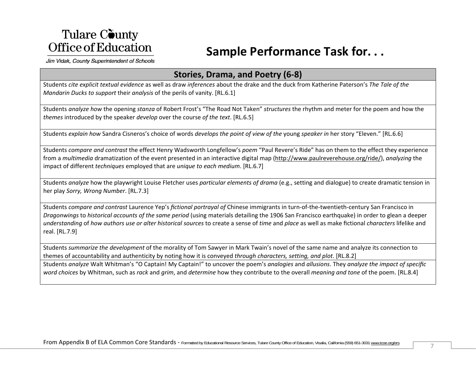### **Sample Performance Task for. . .**

Jim Vidak, County Superintendent of Schools

#### **Stories, Drama, and Poetry (6‐8)**

Students *cite explicit textual evidence* as well as draw *inferences* about the drake and the duck from Katherine Paterson's *The Tale of the Mandarin Ducks to support* their *analysis* of the perils of vanity. [RL.6.1]

Students *analyze how* the opening *stanza* of Robert Frost's "The Road Not Taken" *structures* the rhythm and meter for the poem and how the *themes* introduced by the speaker *develop* over the course *of the text*. [RL.6.5]

Students *explain how* Sandra Cisneros's choice of words *develops the point of view of the* young *speaker in* her story "Eleven." [RL.6.6]

Students *compare and contrast* the effect Henry Wadsworth Longfellow's *poem* "Paul Revere's Ride" has on them to the effect they experience from <sup>a</sup> *multimedia* dramatization of the event presented in an interactive digital map (http://www.paulreverehouse.org/ride/), *analyzing* the impact of different *techniques* employed that are *unique to each medium*. [RL.6.7]

Students *analyze* how the playwright Louise Fletcher uses *particular elements of drama* (e.g., setting and dialogue) to create dramatic tension in her play *Sorry, Wrong Number*. [RL.7.3]

Students *compare and contrast* Laurence Yep's *fictional portrayal of* Chinese immigrants in turn‐of‐the‐twentieth‐century San Francisco in *Dragonwings* to *historical accounts of the same period* (using materials detailing the 1906 San Francisco earthquake) in order to glean <sup>a</sup> deeper *understanding* of *how authors use or alter historical sources* to create <sup>a</sup> sense of *time* and *place* as well as make fictional *characters* lifelike and real. [RL.7.9]

Students *summarize the development* of the morality of Tom Sawyer in Mark Twain's novel of the same name and analyze its connection to themes of accountability and authenticity by noting how it is conveyed *through characters, setting, and plot*. [RL.8.2]

Students *analyze* Walt Whitman's "O Captain! My Captain!" to uncover the poem's *analogies* and *allusions*. They *analyze the impact of specific word choices* by Whitman, such as *rack* and *grim*, and *determine* how they contribute to the overall *meaning and tone* of the poem. [RL.8.4]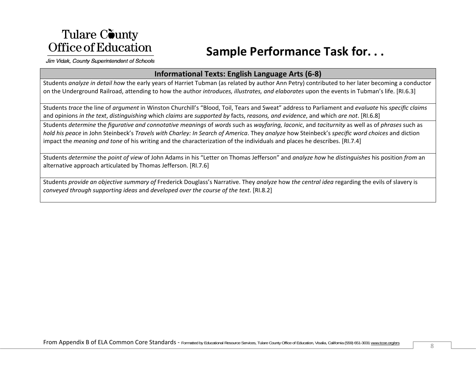## **Sample Performance Task for. . .**

Jim Vidak, County Superintendent of Schools

#### **Informational Texts: English Language Arts (6‐8)**

Students *analyze in detail how* the early years of Harriet Tubman (as related by author Ann Petry) contributed to her later becoming <sup>a</sup> conductor on the Underground Railroad, attending to how the author *introduces, illustrates, and elaborates* upon the events in Tubman's life. [RI.6.3]

Students *trace* the line of *argument* in Winston Churchill's "Blood, Toil, Tears and Sweat" address to Parliament and *evaluate* his *specific claims* and opinions *in the text*, *distinguishing* which *claims* are *supported by* facts, *reasons, and evidence*, and which *are not*. [RI.6.8]

Students *determine* the *figurative and connotative meanings* of *words* such as *wayfaring, laconic*, and *taciturnity* as well as of *phrases* such as hold his peace in John Steinbeck's *Travels with Charley: In Search of America.* They analyze how Steinbeck's *specific word choices* and diction impact the *meaning and tone* of his writing and the characterization of the individuals and places he describes. [RI.7.4]

Students *determine* the *point of view* of John Adams in his "Letter on Thomas Jefferson" and *analyze how* he *distinguishes* his position *from* an alternative approach articulated by Thomas Jefferson. [RI.7.6]

Students *provide an objective summary of* Frederick Douglass's Narrative. They *analyze* how *the central idea* regarding the evils of slavery is *conveyed through supporting ideas* and *developed over the course of the text*. [RI.8.2]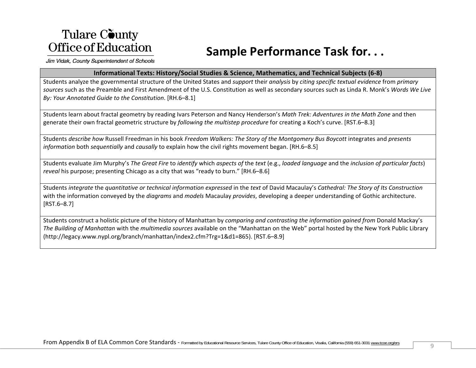## **Sample Performance Task for. . .**

Jim Vidak, County Superintendent of Schools

#### **Informational Texts: History/Social Studies & Science, Mathematics, and Technical Subjects (6‐8)**

Students analyze the governmental structure of the United States and *support* their *analysis* by *citing specific textual evidence* from *primary sources* such as the Preamble and First Amendment of the U.S. Constitution as well as secondary sources such as Linda R. Monk's *Words We Live By: Your Annotated Guide to the Constitution*. [RH.6–8.1]

Students learn about fractal geometry by reading Ivars Peterson and Nancy Henderson's *Math Trek: Adventures in the Math Zone* and then generate their own fractal geometric structure by *following the multistep procedure* for creating <sup>a</sup> Koch's curve. [RST.6–8.3]

Students *describe how* Russell Freedman in his book *Freedom Walkers: The Story of the Montgomery Bus Boycott* integrates and *presents information* both *sequentially* and *causally* to explain how the civil rights movement began. [RH.6–8.5]

Students evaluate Jim Murphy's The Great Fire to identify which aspects of the text (e.g., loaded language and the inclusion of particular facts) *reveal* his purpose; presenting Chicago as <sup>a</sup> city that was "ready to burn." [RH.6–8.6]

Students integrate the quantitative or technical information expressed in the text of David Macaulay's Cathedral: The Story of Its Construction with the information conveyed by the *diagrams* and *models* Macaulay *provides*, developing <sup>a</sup> deeper understanding of Gothic architecture. [RST.6–8.7]

Students construct a holistic picture of the history of Manhattan by *comparing and contrasting the information gained from* Donald Mackay's *The Building of Manhattan* with the *multimedia sources* available on the "Manhattan on the Web" portal hosted by the New York Public Library (http://legacy.www.nypl.org/branch/manhattan/index2.cfm?Trg=1&d1=865). [RST.6–8.9]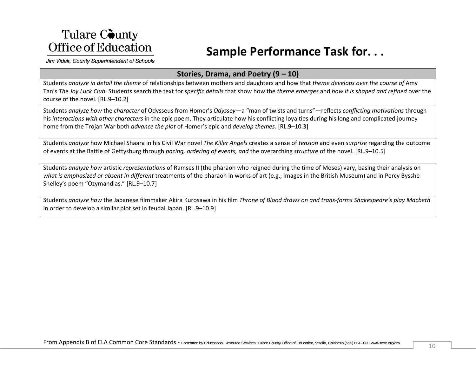## **Sample Performance Task for. . .**

Jim Vidak, County Superintendent of Schools

#### **Stories, Drama, and Poetry (9 – 10)**

Students *analyze in detail the theme* of relationships between mothers and daughters and how that *theme develops over the course of* Amy Tan's The Joy Luck Club. Students search the text for specific details that show how the theme emerges and how it is shaped and refined over the course of the novel. [RL.9–10.2]

Students *analyze how* the *character* of Odysseus from Homer's *Odyssey*—a "man of twists and turns"—reflects *conflicting motivations* through his *interactions with other characters* in the epic poem. They articulate how his conflicting loyalties during his long and complicated journey home from the Trojan War both *advance the plot* of Homer's epic and *develop themes*. [RL.9–10.3]

Students *analyze* how Michael Shaara in his Civil War novel *The Killer Angels* creates <sup>a</sup> sense of *tension* and even *surprise* regarding the outcome of events at the Battle of Gettysburg through *pacing, ordering of events, and* the overarching *structure* of the novel. [RL.9–10.5]

Students *analyze how* artistic *representations* of Ramses II (the pharaoh who reigned during the time of Moses) vary, basing their analysis on *what is emphasized or absent in different* treatments of the pharaoh in works of art (e.g., images in the British Museum) and in Percy Bysshe Shelley's poem "Ozymandias." [RL.9–10.7]

Students analyze how the Japanese filmmaker Akira Kurosawa in his film *Throne of Blood draws on and trans-forms Shakespeare's play Macbeth* in order to develop <sup>a</sup> similar plot set in feudal Japan. [RL.9–10.9]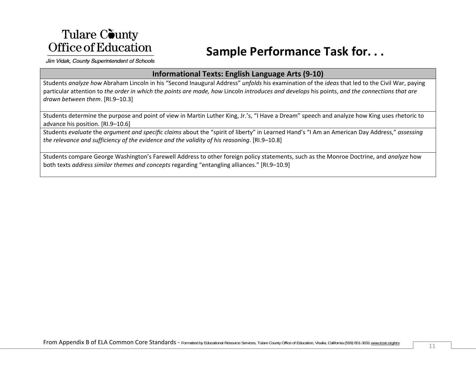## **Sample Performance Task for. . .**

Jim Vidak, County Superintendent of Schools

#### **Informational Texts: English Language Arts (9‐10)**

Students *analyze how* Abraham Lincoln in his "Second Inaugural Address" *unfolds* his examination of the *ideas* that led to the Civil War, paying particular attention to the order in which the points are made, how Lincoln introduces and develops his points, and the connections that are *drawn between them*. [RI.9–10.3]

Students determine the purpose and point of view in Martin Luther King, Jr.'s, "I Have <sup>a</sup> Dream" speech and analyze how King uses rhetoric to advance his position. [RI.9–10.6]

Students *evaluate* the *argument and specific claims* about the "spirit of liberty" in Learned Hand's "I Am an American Day Address," *assessing the relevance and sufficiency of the evidence and the validity of his reasoning*. [RI.9–10.8]

Students compare George Washington's Farewell Address to other foreign policy statements, such as the Monroe Doctrine, and *analyze* how both texts *address similar themes and concepts* regarding "entangling alliances." [RI.9–10.9]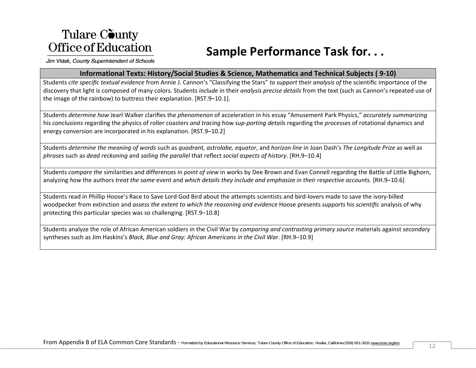## **Sample Performance Task for. . .**

Jim Vidak, County Superintendent of Schools

#### **Informational Texts: History/Social Studies & Science, Mathematics and Technical Subjects ( 9‐10)**

Students *cite specific textual evidence* from Annie J. Cannon's "Classifying the Stars" *to support* their *analysis of* the scientific importance of the discovery that light is composed of many colors. Students *include* in their *analysis precise details* from the text (such as Cannon's repeated use of the image of the rainbow) to buttress their explanation. [RST.9–10.1].

Students *determine how* Jearl Walker clarifies the *phenomenon* of acceleration in his essay "Amusement Park Physics," *accurately summarizing* his *conclusions* regarding the physics of roller coasters *and tracing* how *sup‐porting details* regarding the *processes* of rotational dynamics and energy conversion are incorporated in his explanation. [RST.9–10.2]

Students *determine the meaning of words* such as *quadrant, astrolabe, equator*, and *horizon line* in Joan Dash's *The Longitude Prize* as well as *phrases* such as *dead reckoning* and *sailing the parallel* that reflect *social aspects of history*. [RH.9–10.4]

Students *compare the* similarities and differences in *point of view* in works by Dee Brown and Evan Connell regarding the Battle of Little Bighorn, analyzing how the authors treat the same event and which details they include and emphasize in their respective accounts. [RH.9–10.6]

Students read in Phillip Hoose's Race to Save Lord God Bird about the attempts scientists and bird‐lovers made to save the ivory‐billed woodpecker from extinction and *assess the extent to which the reasoning and evidence* Hoose presents *supports* his *scientific* analysis of why protecting this particular species was so challenging. [RST.9–10.8]

Students analyze the role of African American soldiers in the Civil War by *comparing and contrasting primary source* materials against *secondary* syntheses such as Jim Haskins's *Black, Blue and Gray: African Americans in the Civil War*. [RH.9–10.9]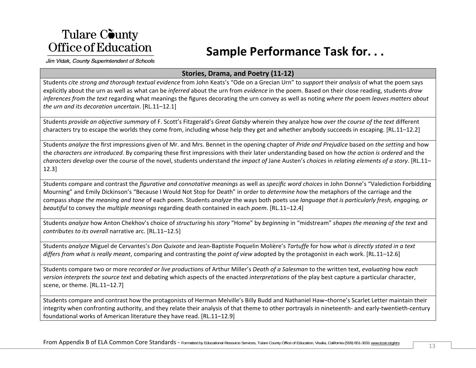## **Sample Performance Task for. . .**

Jim Vidak, County Superintendent of Schools

#### **Stories, Drama, and Poetry (11‐12)**

Students *cite strong and thorough textual evidence* from John Keats's "Ode on <sup>a</sup> Grecian Urn" to *support* their *analysis* of what the poem says explicitly about the urn as well as what can be *inferred* about the urn from *evidence* in the poem. Based on their close reading, students *draw inferences from the text* regarding what meanings the figures decorating the urn convey as well as noting *where the* poem *leaves matters about the urn and its decoration uncertain*. [RL.11–12.1]

Students *provide an objective summary* of F. Scott's Fitzgerald's *Great Gatsby* wherein they analyze how *over the course of the text* different characters try to escape the worlds they come from, including whose help they get and whether anybody succeeds in escaping. [RL.11–12.2]

Students *analyze* the first impressions given of Mr. and Mrs. Bennet in the opening chapter of *Pride and Prejudice* based on *the setting* and how the *characters are introduced*. By comparing these first impressions with their later understanding based on how *the action is ordered* and the *characters develop* over the course of the novel, students understand *the impact of* Jane Austen's *choices* in *relating elements of <sup>a</sup> story*. [RL.11– 12.3]

Students compare and contrast the *figurative and connotative meanings* as well as *specific word choices* in John Donne's "Valediction Forbidding Mourning" and Emily Dickinson's "Because I Would Not Stop for Death" in order to *determine how* the metaphors of the carriage and the compass shape the meaning and tone of each poem. Students analyze the ways both poets use language that is particularly fresh, engaging, or *beautiful* to convey the *multiple meanings* regarding death contained in each *poem*. [RL.11–12.4]

Students *analyze* how Anton Chekhov's choice of *structuring* his *story* "Home" by *beginning* in "midstream" *shapes the meaning of the text* and *contributes to its overall* narrative arc. [RL.11–12.5]

Students *analyze* Miguel de Cervantes's *Don Quixote* and Jean‐Baptiste Poquelin Molière's *Tartuffe* for how *what is directly stated in <sup>a</sup> text differs from what is really meant*, comparing and contrasting the *point of view* adopted by the protagonist in each work. [RL.11–12.6]

Students compare two or more *recorded or live productions* of Arthur Miller's *Death of <sup>a</sup> Salesman* to the written text, *evaluating* how *each version interprets the source text* and debating which aspects of the enacted *interpretations* of the play best capture <sup>a</sup> particular character, scene, or theme. [RL.11–12.7]

Students compare and contrast how the protagonists of Herman Melville's Billy Budd and Nathaniel Haw¬thorne's Scarlet Letter maintain their integrity when confronting authority, and they relate their analysis of that theme to other portrayals in nineteenth- and early-twentieth-century foundational works of American literature they have read. [RL.11–12.9]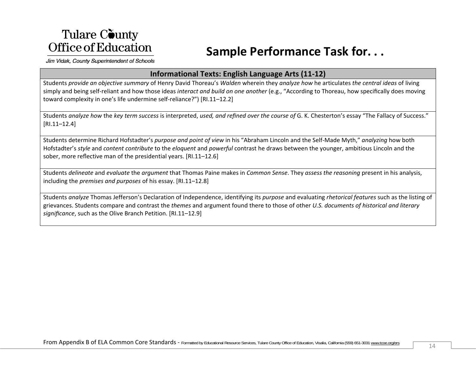## **Sample Performance Task for. . .**

Jim Vidak, County Superintendent of Schools

#### **Informational Texts: English Language Arts (11‐12)**

Students *provide an objective summary* of Henry David Thoreau's *Walden* wherein they *analyze how* he articulates *the central ideas* of living simply and being self‐reliant and how those ideas *interact and build on one another* (e.g., "According to Thoreau, how specifically does moving toward complexity in one's life undermine self‐reliance?") [RI.11–12.2]

Students *analyze how the key term success* is interpreted*, used, and refined over the course of* G. K. Chesterton's essay "The Fallacy of Success." [RI.11–12.4]

Students determine Richard Hofstadter's *purpose and point of view* in his "Abraham Lincoln and the Self‐Made Myth," *analyzing* how both Hofstadter's *style* and *content contribute* to the *eloquent* and *powerful* contrast he draws between the younger, ambitious Lincoln and the sober, more reflective man of the presidential years. [RI.11–12.6]

Students *delineate* and *evaluate* the *argument* that Thomas Paine makes in *Common Sense*. They *assess the reasoning* present in his analysis, including the *premises and purposes* of his essay. [RI.11–12.8]

Students *analyze* Thomas Jefferson's Declaration of Independence, identifying its *purpose* and evaluating *rhetorical features* such as the listing of grievances. Students compare and contrast the *themes* and argument found there to those of other *U.S. documents of historical and literary significance*, such as the Olive Branch Petition. [RI.11–12.9]